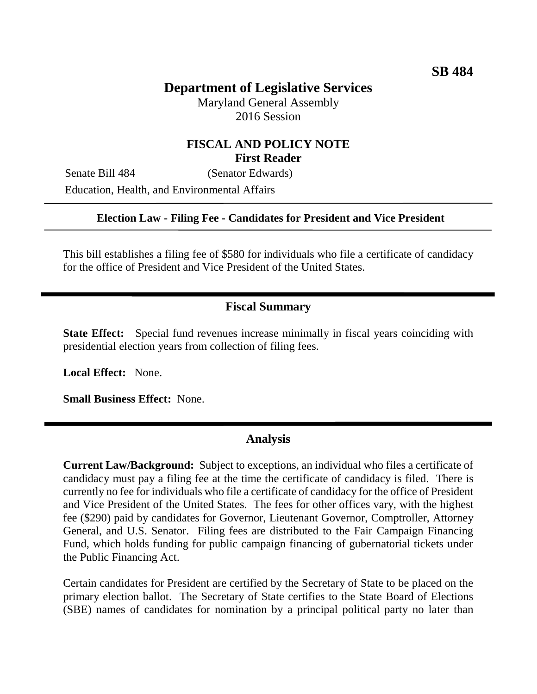# **Department of Legislative Services**

Maryland General Assembly 2016 Session

## **FISCAL AND POLICY NOTE First Reader**

Senate Bill 484 (Senator Edwards) Education, Health, and Environmental Affairs

#### **Election Law - Filing Fee - Candidates for President and Vice President**

This bill establishes a filing fee of \$580 for individuals who file a certificate of candidacy for the office of President and Vice President of the United States.

## **Fiscal Summary**

**State Effect:** Special fund revenues increase minimally in fiscal years coinciding with presidential election years from collection of filing fees.

**Local Effect:** None.

**Small Business Effect:** None.

#### **Analysis**

**Current Law/Background:** Subject to exceptions, an individual who files a certificate of candidacy must pay a filing fee at the time the certificate of candidacy is filed. There is currently no fee for individuals who file a certificate of candidacy for the office of President and Vice President of the United States. The fees for other offices vary, with the highest fee (\$290) paid by candidates for Governor, Lieutenant Governor, Comptroller, Attorney General, and U.S. Senator. Filing fees are distributed to the Fair Campaign Financing Fund, which holds funding for public campaign financing of gubernatorial tickets under the Public Financing Act.

Certain candidates for President are certified by the Secretary of State to be placed on the primary election ballot. The Secretary of State certifies to the State Board of Elections (SBE) names of candidates for nomination by a principal political party no later than